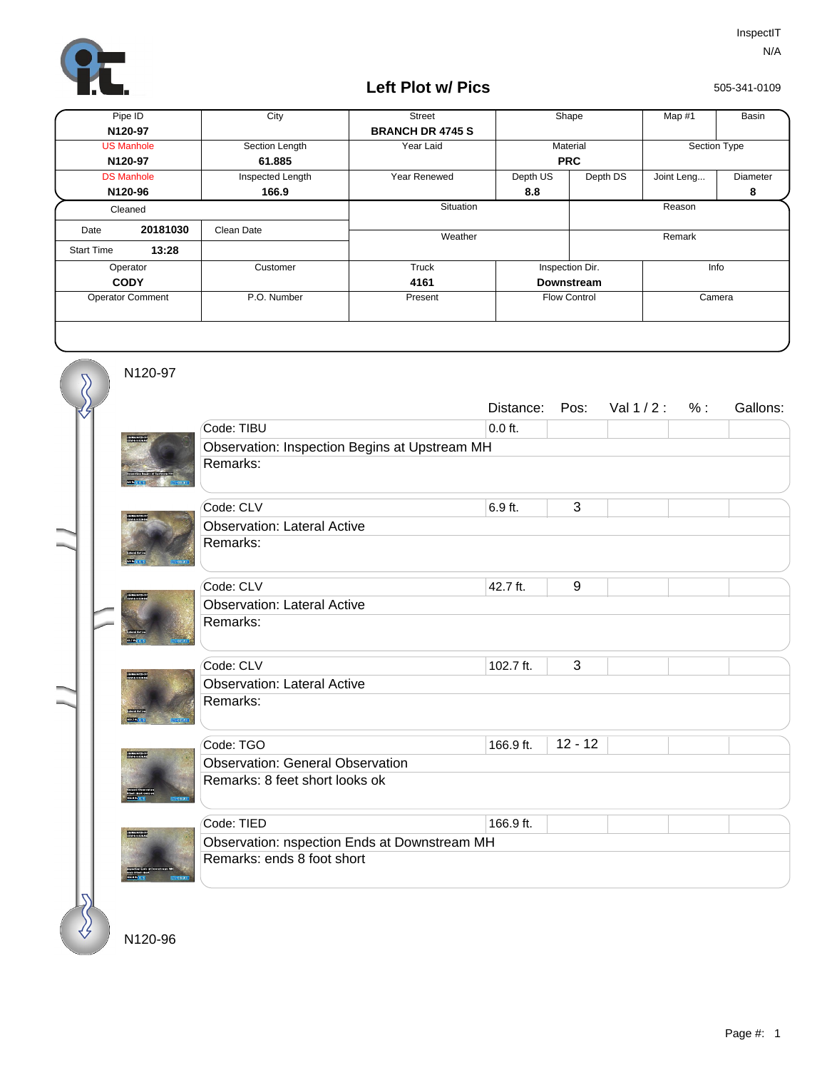

## **Left Plot w/ Pics**

505-341-0109

| Pipe ID                 |          | City             | <b>Street</b>           | Shape               |          | Map #1       | Basin    |
|-------------------------|----------|------------------|-------------------------|---------------------|----------|--------------|----------|
| N120-97                 |          |                  | <b>BRANCH DR 4745 S</b> |                     |          |              |          |
| <b>US Manhole</b>       |          | Section Length   | Year Laid               | Material            |          | Section Type |          |
| N120-97                 |          | 61.885           |                         | <b>PRC</b>          |          |              |          |
| <b>DS Manhole</b>       |          | Inspected Length | Year Renewed            | Depth US            | Depth DS | Joint Leng   | Diameter |
| N120-96                 |          | 166.9            |                         | 8.8                 |          |              | 8        |
| Cleaned                 |          |                  | Situation               |                     |          | Reason       |          |
| Date                    | 20181030 | Clean Date       |                         |                     |          |              |          |
| <b>Start Time</b>       | 13:28    |                  | Weather                 |                     |          | Remark       |          |
| Operator                |          | Customer         | Truck                   | Inspection Dir.     |          | Info         |          |
| <b>CODY</b>             |          |                  | 4161                    | <b>Downstream</b>   |          |              |          |
| <b>Operator Comment</b> |          | P.O. Number      | Present                 | <b>Flow Control</b> |          | Camera       |          |
|                         |          |                  |                         |                     |          |              |          |

N120-97

 $\overline{\mathcal{S}}$ 

|                 |                                               | Distance: | Pos:      | Val $1/2$ : | % : | Gallons: |  |  |  |
|-----------------|-----------------------------------------------|-----------|-----------|-------------|-----|----------|--|--|--|
|                 | Code: TIBU                                    | $0.0$ ft. |           |             |     |          |  |  |  |
|                 | Observation: Inspection Begins at Upstream MH |           |           |             |     |          |  |  |  |
|                 | Remarks:                                      |           |           |             |     |          |  |  |  |
|                 |                                               |           |           |             |     |          |  |  |  |
|                 | Code: CLV                                     | 6.9 ft.   | 3         |             |     |          |  |  |  |
|                 | <b>Observation: Lateral Active</b>            |           |           |             |     |          |  |  |  |
|                 | Remarks:                                      |           |           |             |     |          |  |  |  |
|                 |                                               |           |           |             |     |          |  |  |  |
|                 | Code: CLV                                     | 42.7 ft.  | 9         |             |     |          |  |  |  |
|                 | <b>Observation: Lateral Active</b>            |           |           |             |     |          |  |  |  |
|                 | Remarks:                                      |           |           |             |     |          |  |  |  |
|                 |                                               |           |           |             |     |          |  |  |  |
|                 | Code: CLV                                     | 102.7 ft. | 3         |             |     |          |  |  |  |
| <b>MARITA D</b> | <b>Observation: Lateral Active</b>            |           |           |             |     |          |  |  |  |
|                 | Remarks:                                      |           |           |             |     |          |  |  |  |
|                 |                                               |           |           |             |     |          |  |  |  |
|                 | Code: TGO                                     | 166.9 ft. | $12 - 12$ |             |     |          |  |  |  |
| <b>WEBSTER</b>  | <b>Observation: General Observation</b>       |           |           |             |     |          |  |  |  |
|                 | Remarks: 8 feet short looks ok                |           |           |             |     |          |  |  |  |
|                 |                                               |           |           |             |     |          |  |  |  |
|                 | Code: TIED                                    | 166.9 ft. |           |             |     |          |  |  |  |
| *****           | Observation: nspection Ends at Downstream MH  |           |           |             |     |          |  |  |  |
|                 | Remarks: ends 8 foot short                    |           |           |             |     |          |  |  |  |
|                 |                                               |           |           |             |     |          |  |  |  |
|                 |                                               |           |           |             |     |          |  |  |  |

N120-96

₹